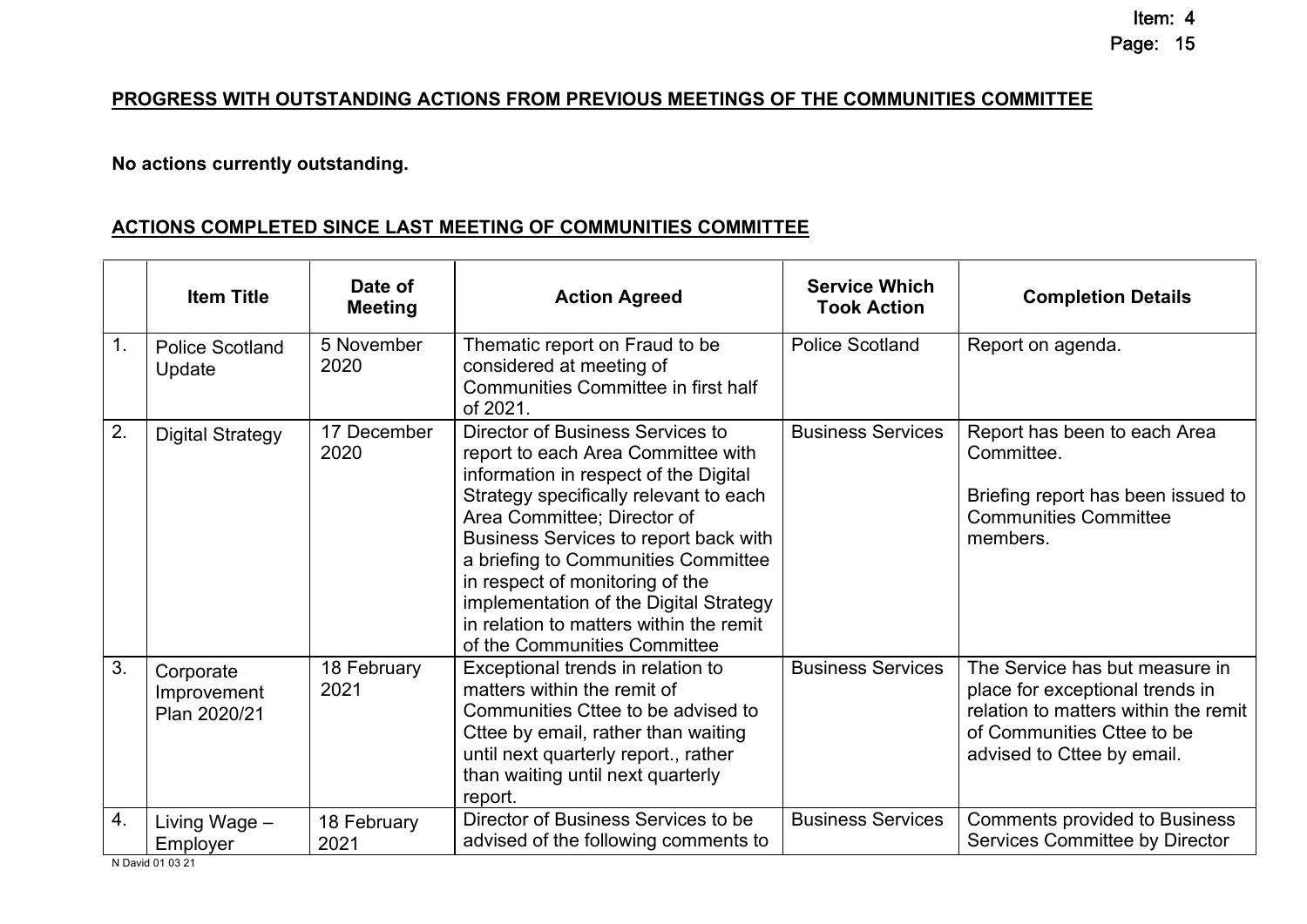## Page: 15

Item: 4

## **PROGRESS WITH OUTSTANDING ACTIONS FROM PREVIOUS MEETINGS OF THE COMMUNITIES COMMITTEE**

## **No actions currently outstanding.**

## **ACTIONS COMPLETED SINCE LAST MEETING OF COMMUNITIES COMMITTEE**

|                  | <b>Item Title</b>                        | Date of<br><b>Meeting</b> | <b>Action Agreed</b>                                                                                                                                                                                                                                                                                                                                                                                                             | <b>Service Which</b><br><b>Took Action</b> | <b>Completion Details</b>                                                                                                                                             |
|------------------|------------------------------------------|---------------------------|----------------------------------------------------------------------------------------------------------------------------------------------------------------------------------------------------------------------------------------------------------------------------------------------------------------------------------------------------------------------------------------------------------------------------------|--------------------------------------------|-----------------------------------------------------------------------------------------------------------------------------------------------------------------------|
| 1.               | <b>Police Scotland</b><br>Update         | 5 November<br>2020        | Thematic report on Fraud to be<br>considered at meeting of<br>Communities Committee in first half<br>of 2021.                                                                                                                                                                                                                                                                                                                    | <b>Police Scotland</b>                     | Report on agenda.                                                                                                                                                     |
| 2.               | <b>Digital Strategy</b>                  | 17 December<br>2020       | Director of Business Services to<br>report to each Area Committee with<br>information in respect of the Digital<br>Strategy specifically relevant to each<br>Area Committee; Director of<br>Business Services to report back with<br>a briefing to Communities Committee<br>in respect of monitoring of the<br>implementation of the Digital Strategy<br>in relation to matters within the remit<br>of the Communities Committee | <b>Business Services</b>                   | Report has been to each Area<br>Committee.<br>Briefing report has been issued to<br><b>Communities Committee</b><br>members.                                          |
| 3.               | Corporate<br>Improvement<br>Plan 2020/21 | 18 February<br>2021       | Exceptional trends in relation to<br>matters within the remit of<br>Communities Cttee to be advised to<br>Cttee by email, rather than waiting<br>until next quarterly report., rather<br>than waiting until next quarterly<br>report.                                                                                                                                                                                            | <b>Business Services</b>                   | The Service has but measure in<br>place for exceptional trends in<br>relation to matters within the remit<br>of Communities Cttee to be<br>advised to Cttee by email. |
| $\overline{4}$ . | Living Wage -<br>Employer                | 18 February<br>2021       | Director of Business Services to be<br>advised of the following comments to                                                                                                                                                                                                                                                                                                                                                      | <b>Business Services</b>                   | <b>Comments provided to Business</b><br>Services Committee by Director                                                                                                |